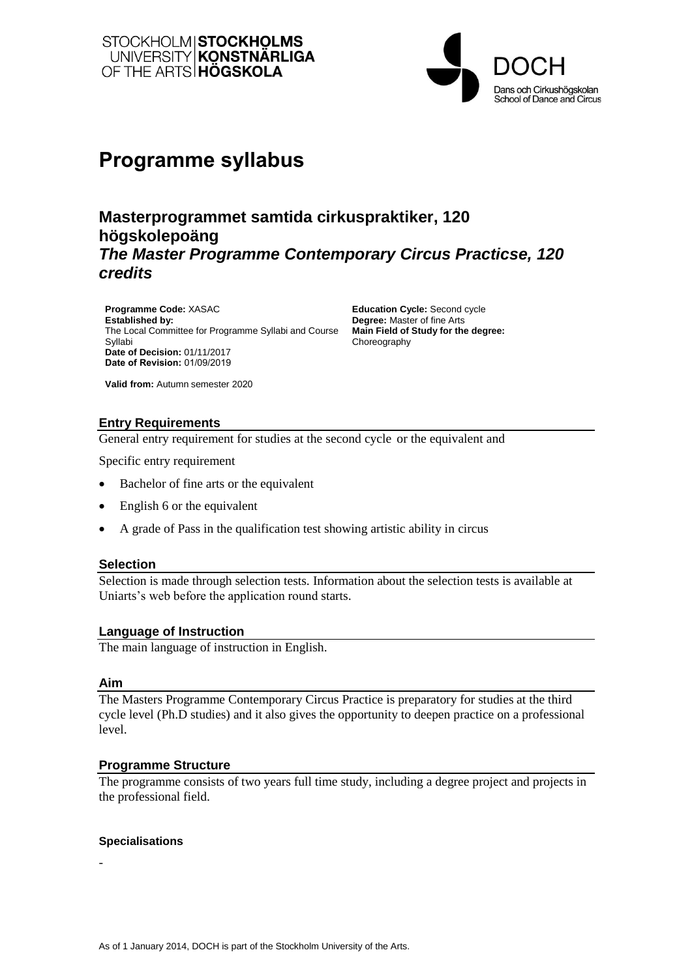



# **Programme syllabus**

## **Masterprogrammet samtida cirkuspraktiker, 120 högskolepoäng** *The Master Programme Contemporary Circus Practicse, 120 credits*

**Programme Code:** XASAC **Established by:**  The Local Committee for Programme Syllabi and Course Syllabi **Date of Decision:** 01/11/2017 **Date of Revision:** 01/09/2019

**Education Cycle:** Second cycle **Degree:** Master of fine Arts **Main Field of Study for the degree:** Choreography

**Valid from:** Autumn semester 2020

## **Entry Requirements**

General entry requirement for studies at the second cycle or the equivalent and

Specific entry requirement

- Bachelor of fine arts or the equivalent
- English 6 or the equivalent
- A grade of Pass in the qualification test showing artistic ability in circus

#### **Selection**

Selection is made through selection tests. Information about the selection tests is available at Uniarts's web before the application round starts.

#### **Language of Instruction**

The main language of instruction in English.

#### **Aim**

The Masters Programme Contemporary Circus Practice is preparatory for studies at the third cycle level (Ph.D studies) and it also gives the opportunity to deepen practice on a professional level.

#### **Programme Structure**

The programme consists of two years full time study, including a degree project and projects in the professional field.

#### **Specialisations**

-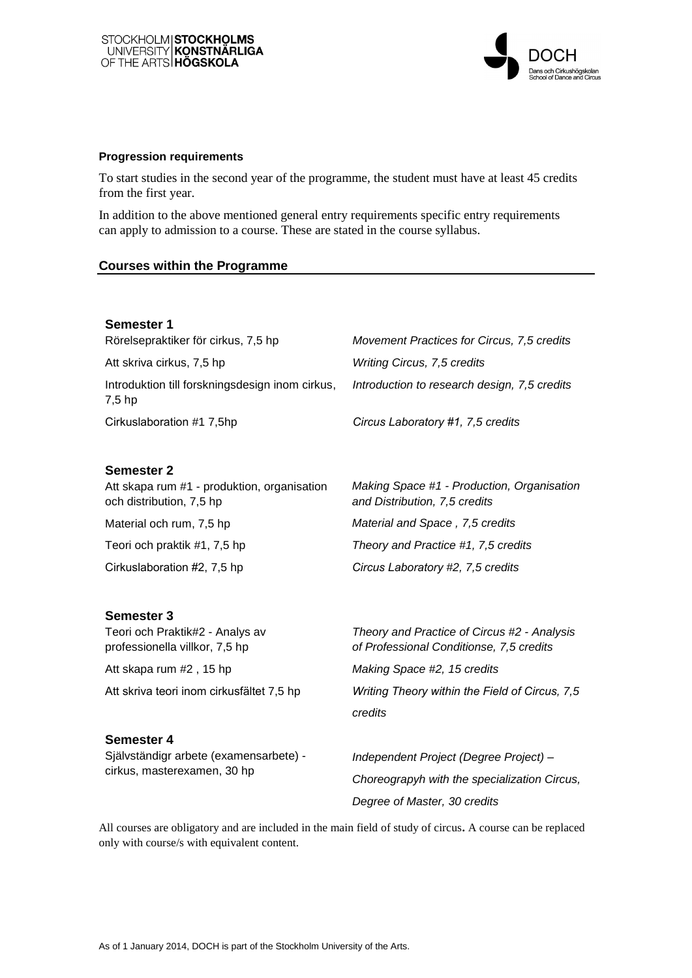

#### **Progression requirements**

To start studies in the second year of the programme, the student must have at least 45 credits from the first year.

In addition to the above mentioned general entry requirements specific entry requirements can apply to admission to a course. These are stated in the course syllabus.

#### **Courses within the Programme**

## **Semester 1**

<span id="page-1-2"></span><span id="page-1-1"></span>Rörelsepraktiker för cirkus, 7,5 hp Att skriva cirkus, 7,5 hp Introduktion till forskningsdesign inom cirkus, 7,5 hp Cirkuslaboration #1 7,5hp

<span id="page-1-0"></span>*Movement Practices for Circus, [7,5](#page-1-0) credits Writing Circus, [7,5](#page-1-1) credits Introduction to research design, [7,5](#page-1-2) credits* 

*Circus Laboratory #1, 7,5 credits* 

#### **Semester 2**

<span id="page-1-5"></span><span id="page-1-4"></span><span id="page-1-3"></span>Att skapa rum #1 - produktion, organisation och distribution, 7,5 hp Material och rum, 7,5 hp Teori och praktik #1, 7,5 hp Cirkuslaboration #2, 7,5 hp

#### <span id="page-1-6"></span>**Semester 3**

<span id="page-1-7"></span>Teori och Praktik#2 - Analys av professionella villkor, 7,5 hp

<span id="page-1-8"></span>Att skapa rum #2 , 15 hp

<span id="page-1-9"></span>Att skriva teori inom cirkusfältet 7,5 hp

#### **Semester 4**

<span id="page-1-10"></span>Självständigr arbete (examensarbete) cirkus, masterexamen, 30 hp

*Making Space #1 - Production, Organisation and Distribution, [7,5](#page-1-3) credits Material and Space , [7,5](#page-1-4) credits Theory and Practice #1, [7,5](#page-1-5) credits Circus Labor[atory](#page-1-6) #2, 7,5 credits* 

*Theory and Practice of Circus #2 - Analysis of Professional Conditionse, [7,5 c](#page-1-7)redits Making Space #2, [15](#page-1-8) credits Writing Theor[y wit](#page-1-9)hin the Field of Circus, 7,5 credits* 

*Independent Project (Degree Project) – Choreograpyh with [the s](#page-1-10)pecialization Circus, Degree of Master, 30 credits* 

All courses are obligatory and are included in the main field of study of circus**.** A course can be replaced only with course/s with equivalent content.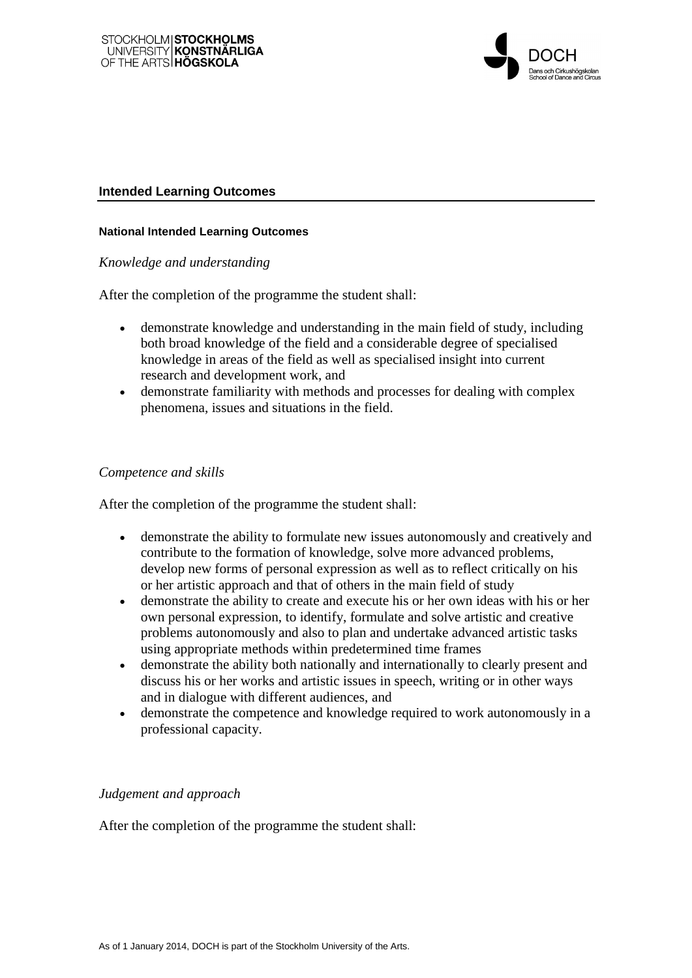

## **Intended Learning Outcomes**

## **National Intended Learning Outcomes**

## *Knowledge and understanding*

After the completion of the programme the student shall:

- demonstrate knowledge and understanding in the main field of study, including both broad knowledge of the field and a considerable degree of specialised knowledge in areas of the field as well as specialised insight into current research and development work, and
- demonstrate familiarity with methods and processes for dealing with complex phenomena, issues and situations in the field.

## *Competence and skills*

After the completion of the programme the student shall:

- demonstrate the ability to formulate new issues autonomously and creatively and contribute to the formation of knowledge, solve more advanced problems, develop new forms of personal expression as well as to reflect critically on his or her artistic approach and that of others in the main field of study
- demonstrate the ability to create and execute his or her own ideas with his or her own personal expression, to identify, formulate and solve artistic and creative problems autonomously and also to plan and undertake advanced artistic tasks using appropriate methods within predetermined time frames
- demonstrate the ability both nationally and internationally to clearly present and discuss his or her works and artistic issues in speech, writing or in other ways and in dialogue with different audiences, and
- demonstrate the competence and knowledge required to work autonomously in a professional capacity.

## *Judgement and approach*

After the completion of the programme the student shall: